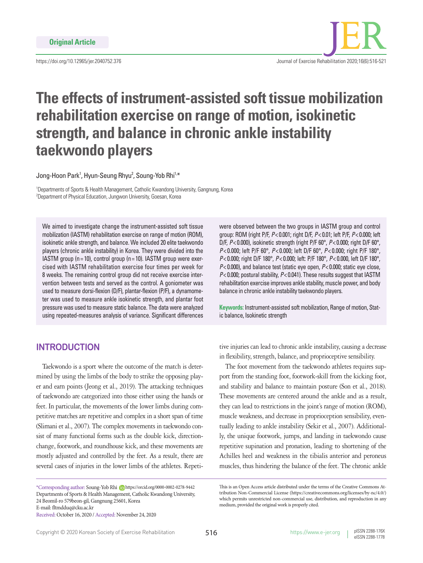

# **The effects of instrument-assisted soft tissue mobilization rehabilitation exercise on range of motion, isokinetic strength, and balance in chronic ankle instability taekwondo players**

Jong-Hoon Park<sup>1</sup>, Hyun-Seung Rhyu<sup>2</sup>, Soung-Yob Rhi<sup>1,\*</sup>

1 Departments of Sports & Health Management, Catholic Kwandong University, Gangnung, Korea 2 Department of Physical Education, Jungwon University, Goesan, Korea

We aimed to investigate change the instrument-assisted soft tissue mobilization (IASTM) rehabilitation exercise on range of motion (ROM), isokinetic ankle strength, and balance. We included 20 elite taekwondo players (chronic ankle instability) in Korea. They were divided into the IASTM group ( $n = 10$ ), control group ( $n = 10$ ). IASTM group were exercised with IASTM rehabilitation exercise four times per week for 8 weeks. The remaining control group did not receive exercise intervention between tests and served as the control. A goniometer was used to measure dorsi-flexion (D/F), plantar-flexion (P/F), a dynamometer was used to measure ankle isokinetic strength, and plantar foot pressure was used to measure static balance. The data were analyzed using repeated-measures analysis of variance. Significant differences

were observed between the two groups in IASTM group and control group: ROM (right P/F, *P*< 0.001; right D/F, *P*< 0.01; left P/F, *P*< 0.000; left D/F, *P*< 0.000), isokinetic strength (right P/F 60°, *P*< 0.000; right D/F 60°, *P*< 0.000; left P/F 60°, *P*< 0.000; left D/F 60°, *P*< 0.000; right P/F 180°, *P*< 0.000; right D/F 180°, *P*< 0.000; left: P/F 180°, *P*< 0.000, left D/F 180°, *P*< 0.000), and balance test (static eye open, *P*< 0.000; static eye close, *P*< 0.000; postural stability, *P*< 0.041). These results suggest that IASTM rehabilitation exercise improves ankle stability, muscle power, and body balance in chronic ankle instability taekwondo players.

**Keywords:** Instrument-assisted soft mobilization, Range of motion, Static balance, Isokinetic strength

## **INTRODUCTION**

Taekwondo is a sport where the outcome of the match is determined by using the limbs of the body to strike the opposing player and earn points (Jeong et al., 2019). The attacking techniques of taekwondo are categorized into those either using the hands or feet. In particular, the movements of the lower limbs during competitive matches are repetitive and complex in a short span of time (Slimani et al., 2007). The complex movements in taekwondo consist of many functional forms such as the double kick, directionchange, footwork, and roundhouse kick, and these movements are mostly adjusted and controlled by the feet. As a result, there are several cases of injuries in the lower limbs of the athletes. Repeti-

\*Corresponding author: Soung-Yob Rhi https://orcid.org/0000-0002-0278-9442 Departments of Sports & Health Management, Catholic Kwandong University, 24 Beomil-ro 579beon-gil, Gangnung 25601, Korea E-mail: fltmdduq@cku.ac.kr

Received: October 16, 2020 / Accepted: November 24, 2020

tive injuries can lead to chronic ankle instability, causing a decrease in flexibility, strength, balance, and proprioceptive sensibility.

The foot movement from the taekwondo athletes requires support from the standing foot, footwork-skill from the kicking foot, and stability and balance to maintain posture (Son et al., 2018). These movements are centered around the ankle and as a result, they can lead to restrictions in the joint's range of motion (ROM), muscle weakness, and decrease in proprioception sensibility, eventually leading to ankle instability (Sekir et al., 2007). Additionally, the unique footwork, jumps, and landing in taekwondo cause repetitive supination and pronation, leading to shortening of the Achilles heel and weakness in the tibialis anterior and peroneus muscles, thus hindering the balance of the feet. The chronic ankle

This is an Open Access article distributed under the terms of the Creative Commons Attribution Non-Commercial License (https://creativecommons.org/licenses/by-nc/4.0/) which permits unrestricted non-commercial use, distribution, and reproduction in any medium, provided the original work is properly cited.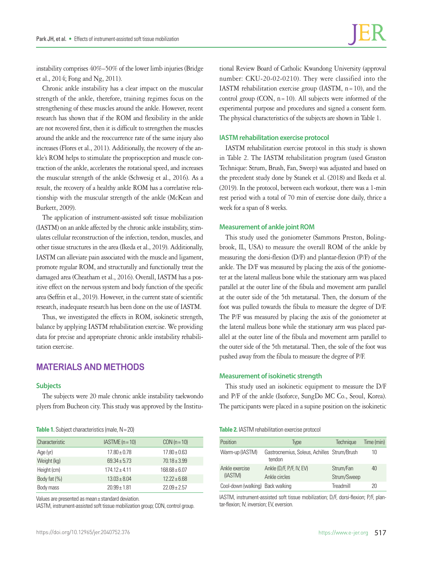instability comprises 40%–50% of the lower limb injuries (Bridge et al., 2014; Fong and Ng, 2011).

Chronic ankle instability has a clear impact on the muscular strength of the ankle, therefore, training regimes focus on the strengthening of these muscles around the ankle. However, recent research has shown that if the ROM and flexibility in the ankle are not recovered first, then it is difficult to strengthen the muscles around the ankle and the reoccurrence rate of the same injury also increases (Flores et al., 2011). Additionally, the recovery of the ankle's ROM helps to stimulate the proprioception and muscle contraction of the ankle, accelerates the rotational speed, and increases the muscular strength of the ankle (Schwesig et al., 2016). As a result, the recovery of a healthy ankle ROM has a correlative relationship with the muscular strength of the ankle (McKean and Burkett, 2009).

The application of instrument-assisted soft tissue mobilization (IASTM) on an ankle affected by the chronic ankle instability, stimulates cellular reconstruction of the infection, tendon, muscles, and other tissue structures in the area (Ikeda et al., 2019). Additionally, IASTM can alleviate pain associated with the muscle and ligament, promote regular ROM, and structurally and functionally treat the damaged area (Cheatham et al., 2016). Overall, IASTM has a positive effect on the nervous system and body function of the specific area (Seffrin et al., 2019). However, in the current state of scientific research, inadequate research has been done on the use of IASTM.

Thus, we investigated the effects in ROM, isokinetic strength, balance by applying IASTM rehabilitation exercise. We providing data for precise and appropriate chronic ankle instability rehabilitation exercise.

## **MATERIALS AND METHODS**

#### **Subjects**

The subjects were 20 male chronic ankle instability taekwondo plyers from Bucheon city. This study was approved by the Institu-

|  |  | Table 1. Subject characteristics (male, N = 20) |  |  |
|--|--|-------------------------------------------------|--|--|
|--|--|-------------------------------------------------|--|--|

| Characteristic | $IASTME (n = 10)$ | $CON(n=10)$      |
|----------------|-------------------|------------------|
| Age (yr)       | $17.80 \pm 0.78$  | $17.80 + 0.63$   |
| Weight (kg)    | $69.34 \pm 5.73$  | $70.18 \pm 3.99$ |
| Height (cm)    | $174.12 \pm 4.11$ | $168.68 + 6.07$  |
| Body fat (%)   | $13.03 \pm 8.04$  | $12.22 + 6.68$   |
| Body mass      | $20.99 + 1.81$    | $22.09 + 2.57$   |

Values are presented as mean± standard deviation.

IASTM, instrument-assisted soft tissue mobilization group; CON, control group.

tional Review Board of Catholic Kwandong University (approval number: CKU-20-02-0210). They were classified into the IASTM rehabilitation exercise group (IASTM,  $n=10$ ), and the control group (CON,  $n=10$ ). All subjects were informed of the experimental purpose and procedures and signed a consent form. The physical characteristics of the subjects are shown in Table 1.

#### **IASTM rehabilitation exercise protocol**

IASTM rehabilitation exercise protocol in this study is shown in Table 2. The IASTM rehabilitation program (used Graston Technique: Strum, Brush, Fan, Sweep) was adjusted and based on the precedent study done by Stanek et al. (2018) and Ikeda et al. (2019). In the protocol, between each workout, there was a 1-min rest period with a total of 70 min of exercise done daily, thrice a week for a span of 8 weeks.

#### **Measurement of ankle joint ROM**

This study used the goniometer (Sammons Preston, Bolingbrook, IL, USA) to measure the overall ROM of the ankle by measuring the dorsi-flexion (D/F) and plantar-flexion (P/F) of the ankle. The D/F was measured by placing the axis of the goniometer at the lateral malleus bone while the stationary arm was placed parallel at the outer line of the fibula and movement arm parallel at the outer side of the 5th metatarsal. Then, the dorsum of the foot was pulled towards the fibula to measure the degree of D/F. The P/F was measured by placing the axis of the goniometer at the lateral malleus bone while the stationary arm was placed parallel at the outer line of the fibula and movement arm parallel to the outer side of the 5th metatarsal. Then, the sole of the foot was pushed away from the fibula to measure the degree of P/F.

#### **Measurement of isokinetic strength**

This study used an isokinetic equipment to measure the D/F and P/F of the ankle (Isoforce, SungDo MC Co., Seoul, Korea). The participants were placed in a supine position on the isokinetic

#### **Table 2.** IASTM rehabilitation exercise protocol

| Position                         | Type                                                  | Technique                | Time (min) |
|----------------------------------|-------------------------------------------------------|--------------------------|------------|
| Warm-up (IASTM)                  | Gastrocnemius, Soleus, Achilles Strum/Brush<br>tendon |                          | 10         |
| Ankle exercise<br>(IASTM)        | Ankle (D/F, P/F, IV, EV)<br>Ankle circles             | Strum/Fan<br>Strum/Sweep | 40         |
| Cool-down (walking) Back walking |                                                       | Treadmill                | 20         |

IASTM, instrument-assisted soft tissue mobilization; D/F, dorsi-flexion; P/F, plantar-flexion; IV, inversion; EV, eversion.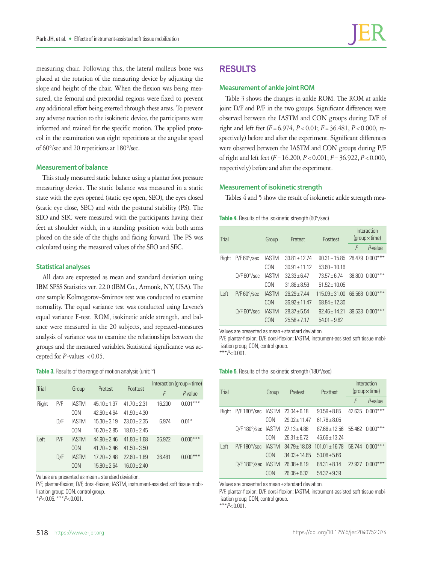measuring chair. Following this, the lateral malleus bone was placed at the rotation of the measuring device by adjusting the slope and height of the chair. When the flexion was being measured, the femoral and precordial regions were fixed to prevent any additional effort being exerted through these areas. To prevent any adverse reaction to the isokinetic device, the participants were informed and trained for the specific motion. The applied protocol in the examination was eight repetitions at the angular speed of 60°/sec and 20 repetitions at 180°/sec.

#### **Measurement of balance**

This study measured static balance using a plantar foot pressure measuring device. The static balance was measured in a static state with the eyes opened (static eye open, SEO), the eyes closed (static eye close, SEC) and with the postural stability (PS). The SEO and SEC were measured with the participants having their feet at shoulder width, in a standing position with both arms placed on the side of the thighs and facing forward. The PS was calculated using the measured values of the SEO and SEC.

#### **Statistical analyses**

All data are expressed as mean and standard deviation using IBM SPSS Statistics ver. 22.0 (IBM Co., Armonk, NY, USA). The one sample Kolmogorov–Smirnov test was conducted to examine normality. The equal variance test was conducted using Levene's equal variance F-test. ROM, isokinetic ankle strength, and balance were measured in the 20 subjects, and repeated-measures analysis of variance was to examine the relationships between the groups and the measured variables. Statistical significance was accepted for  $P$ -values < 0.05.

#### **Table 3.** Results of the range of motion analysis (unit: °)

| Trial |     |              | Pretest          |                  | Interaction (group $\times$ time) |              |  |
|-------|-----|--------------|------------------|------------------|-----------------------------------|--------------|--|
|       |     | Group        |                  | Posttest         | F                                 | P-value      |  |
| Right | P/F | <b>IASTM</b> | $45.10 \pm 1.37$ | $41.70 + 2.31$   | 16.200                            | ***<br>0.001 |  |
|       |     | CON          | $42.60 \pm 4.64$ | $41.90 \pm 4.30$ |                                   |              |  |
|       | D/F | <b>IASTM</b> | $15.30 \pm 3.19$ | $23.00 + 2.35$   | 6.974                             | $0.01*$      |  |
|       |     | CON          | $1620 + 285$     | $1860 + 245$     |                                   |              |  |
| Left  | P/F | <b>IASTM</b> | $44.90 + 2.46$   | $4180 + 168$     | 36.922                            | $0.000***$   |  |
|       |     | CON          | $41.70 \pm 3.46$ | $41.50 \pm 3.50$ |                                   |              |  |
|       | D/F | <b>IASTM</b> | $17.20 + 2.48$   | $2260 + 189$     | 36.481                            | $0.000***$   |  |
|       |     | CON          | $15.90 + 2.64$   | $16.00 + 2.40$   |                                   |              |  |

Values are presented as mean± standard deviation.

P/F, plantar-flexion; D/F, dorsi-flexion; IASTM, instrument-assisted soft tissue mobilization group; CON, control group.

\**P*< 0.05. \*\*\**P*< 0.001.

# **RESULTS**

#### **Measurement of ankle joint ROM**

Table 3 shows the changes in ankle ROM. The ROM at ankle joint D/F and P/F in the two groups. Significant differences were observed between the IASTM and CON groups during D/F of right and left feet (*F*=6.974, *P*<0.01; *F*=36.481, *P*<0.000, respectively) before and after the experiment. Significant differences were observed between the IASTM and CON groups during P/F of right and left feet (*F*=16.200, *P*<0.001; *F*=36.922, *P*<0.000, respectively) before and after the experiment.

#### **Measurement of isokinetic strength**

Tables 4 and 5 show the result of isokinetic ankle strength mea-

Table 4. Results of the isokinetic strength (60°/sec)

| Trial |                      | Group        | Pretest           | Posttest                          | Interaction<br>$(group \times time)$ |                     |
|-------|----------------------|--------------|-------------------|-----------------------------------|--------------------------------------|---------------------|
|       |                      |              |                   |                                   | F                                    | P-value             |
| Right | $P/F 60^{\circ}/sec$ | <b>IASTM</b> | $3381 + 1274$     | $90.31 \pm 15.85$ 28.479 0.000*** |                                      |                     |
|       |                      | CON          | $30.91 + 11.12$   | $53.60 \pm 10.16$                 |                                      |                     |
|       | $D/F 60^{\circ}/sec$ | <b>IASTM</b> | $32.33 + 6.47$    | $73.57 + 6.74$                    |                                      | 38.800 0.000***     |
|       |                      | CON          | $3186 + 859$      | $51.52 + 10.05$                   |                                      |                     |
| Left  | $P/F 60^{\circ}/sec$ | <b>IASTM</b> | $26.29 + 7.44$    | $115.09 \pm 31.00$                |                                      | 66,568 0,000***     |
|       |                      | CON          | $36.92 \pm 11.47$ | $58.84 + 12.30$                   |                                      |                     |
|       | $D/F 60^{\circ}/sec$ | <b>IASTM</b> | $28.37 + 5.54$    | $9246 + 1421$                     |                                      | $39.533$ $0.000***$ |
|       |                      | CON          | $25.58 + 7.17$    | $54.01 \pm 9.62$                  |                                      |                     |

Values are presented as mean± standard deviation.

P/F, plantar-flexion; D/F, dorsi-flexion; IASTM, instrument-assisted soft tissue mobilization group; CON, control group. \*\*\**P*< 0.001.

#### Table 5. Results of the isokinetic strength (180°/sec)

| Trial |                             | Group | Pretest           | Posttest           | Interaction<br>$(group \times time)$ |            |
|-------|-----------------------------|-------|-------------------|--------------------|--------------------------------------|------------|
|       |                             |       |                   |                    | F                                    | $P$ -value |
| Right | P/F 180°/sec IASTM          |       | $23.04 \pm 6.18$  | $90.59 + 8.85$     | 42.635                               | $0.000***$ |
|       |                             | CON   | $29.02 + 11.47$   | $61.76 \pm 8.05$   |                                      |            |
|       | $D/F 180^{\circ}/sec$ IASTM |       | $27.13 \pm 4.88$  | $87.66 \pm 12.56$  | 55.462                               | $0.000***$ |
|       |                             | CON   | $26.31 + 6.72$    | $46.66 \pm 13.24$  |                                      |            |
| Left  | P/F 180°/sec IASTM          |       | $34.79 \pm 18.08$ | $101.01 \pm 16.78$ | 58744                                | $0.000***$ |
|       |                             | CON   | $3403 + 1465$     | $50.08 + 5.66$     |                                      |            |
|       | $D/F 180^{\circ}/sec$ IASTM |       | $26.38 + 8.19$    | $84.31 + 8.14$     | 27,927                               | $0.000***$ |
|       |                             | CON   | $26.06 + 6.32$    | $54.32 + 9.39$     |                                      |            |

Values are presented as mean± standard deviation.

P/F, plantar-flexion; D/F, dorsi-flexion; IASTM, instrument-assisted soft tissue mobilization group; CON, control group.

\*\*\**P*< 0.001.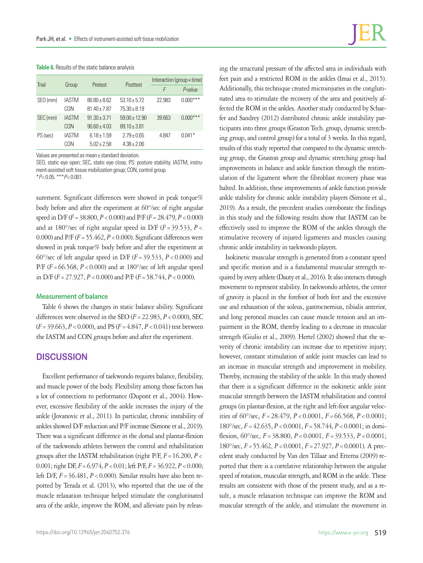#### **Table 6.** Results of the static balance analysis

| Trial    | Group        | Pretest          | Posttest         | Interaction (group $\times$ time) |            |  |
|----------|--------------|------------------|------------------|-----------------------------------|------------|--|
|          |              |                  |                  | F                                 | P-value    |  |
| SEO (mm) | IASTM        | $80.80 + 8.62$   | $53.10 + 5.72$   | 22.983                            | $0.000***$ |  |
|          | CON          | $81.40 \pm 7.87$ | $75.30 \pm 8.19$ |                                   |            |  |
| SEC (mm) | <b>IASTM</b> | $91.30 \pm 3.71$ | $59.00 + 12.90$  | 39.663                            | $0.000***$ |  |
|          | CON          | $90.60 \pm 4.03$ | $89.10 \pm 3.81$ |                                   |            |  |
| PS (sec) | <b>IASTM</b> | $6.18 \pm 1.59$  | $2.79 + 0.65$    | 4.847                             | $0.041*$   |  |
|          | CON          | $5.02 + 2.58$    | $4.38 \pm 2.06$  |                                   |            |  |

Values are presented as mean± standard deviation.

SEO, static eye open; SEC, static eye close, PS: posture stability; IASTM, instrument-assisted soft tissue mobilization group; CON, control group. \**P*< 0.05. \*\*\**P*< 0.001.

surement. Significant differences were showed in peak torque% body before and after the experiment at 60°/sec of right angular speed in D/F (*F*=38.800, *P*<0.000) and P/F (*F*=28.479, *P*<0.000) and at 180°/sec of right angular speed in D/F ( $F = 39.533$ ,  $P <$ 0.000) and  $P/F (F = 55.462, P < 0.000)$ . Significant differences were showed in peak torque% body before and after the experiment at 60°/sec of left angular speed in D/F (*F*=39.533, *P*<0.000) and P/F (*F*=66.568, *P*<0.000) and at 180°/sec of left angular speed in D/F ( $F = 27.927$ ,  $P < 0.000$ ) and P/F ( $F = 58.744$ ,  $P < 0.000$ ).

#### **Measurement of balance**

Table 6 shows the changes in static balance ability. Significant differences were observed in the SEO  $(F = 22.983, P < 0.000)$ , SEC (*F*=39.663, *P*<0.000), and PS (*F*=4.847, *P*<0.041) test between the IASTM and CON groups before and after the experiment.

### **DISCUSSION**

Excellent performance of taekwondo requires balance, flexibility, and muscle power of the body. Flexibility among those factors has a lot of connections to performance (Dupont et al., 2004). However, excessive flexibility of the ankle increases the injury of the ankle (Jovanovic et al., 2011). In particular, chronic instability of ankles showed D/F reduction and P/F increase (Simone et al., 2019). There was a significant difference in the dorsal and plantar-flexion of the taekwondo athletes between the control and rehabilitation groups after the IASTM rehabilitation (right  $P/F$ ,  $F = 16.200$ ,  $P <$ 0.001; right DF, *F*=6.974, *P*<0.01; left P/F, *F*=36.922, *P*<0.000; left D/F, *F*=36.481, *P*<0.000). Similar results have also been reported by Terada et al. (2013), who reported that the use of the muscle relaxation technique helped stimulate the conglutinated area of the ankle, improve the ROM, and alleviate pain by releas-

ing the structural pressure of the affected area in individuals with feet pain and a restricted ROM in the ankles (Imai et al., 2015). Additionally, this technique created microinjuries in the conglutinated area to stimulate the recovery of the area and positively affected the ROM in the ankles. Another study conducted by Schaefer and Sandrey (2012) distributed chronic ankle instability participants into three groups (Graston Tech. group, dynamic stretching group, and control group) for a total of 3 weeks. In this regard, results of this study reported that compared to the dynamic stretching group, the Graston group and dynamic stretching group had improvements in balance and ankle function through the restimulation of the ligament where the fibroblast recovery phase was halted. In addition, these improvements of ankle function provide ankle stability for chronic ankle instability players (Simone et al., 2019). As a result, the precedent studies corroborate the findings in this study and the following results show that IASTM can be effectively used to improve the ROM of the ankles through the stimulative recovery of injured ligaments and muscles causing chronic ankle instability in taekwondo players.

Isokinetic muscular strength is generated from a constant speed and specific motion and is a fundamental muscular strength required by every athlete (Dauty et al., 2016). It also interacts through movement to represent stability. In taekwondo athletes, the center of gravity is placed in the forefoot of both feet and the excessive use and exhaustion of the soleus, gastrocnemius, tibialis anterior, and long peroneal muscles can cause muscle tension and an impairment in the ROM, thereby leading to a decrease in muscular strength (Giulio et al., 2009). Hertel (2002) showed that the severity of chronic instability can increase due to repetitive injury; however, constant stimulation of ankle joint muscles can lead to an increase in muscular strength and improvement in mobility. Thereby, increasing the stability of the ankle. In this study showed that there is a significant difference in the isokinetic ankle joint muscular strength between the IASTM rehabilitation and control groups (in plantar-flexion, at the right and left-foot angular velocities of 60°/sec, *F*=28.479, *P*<0.0001, *F*=66.568, *P*<0.0001; 180°/sec, *F*=42.635, *P*<0.0001, *F*=58.744, *P*<0.0001; in dorsiflexion, 60°/sec, *F*=38.800, *P*<0.0001, *F*=39.533, *P*<0.0001; 180°/sec, *F*=55.462, *P*<0.0001, *F*=27.927, *P*<0.0001). A precedent study conducted by Van den Tillaar and Ettema (2009) reported that there is a correlative relationship between the angular speed of rotation, muscular strength, and ROM in the ankle. These results are consistent with those of the present study, and as a result, a muscle relaxation technique can improve the ROM and muscular strength of the ankle, and stimulate the movement in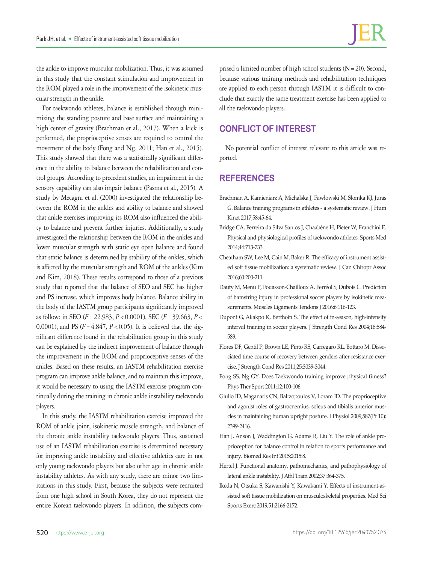the ankle to improve muscular mobilization. Thus, it was assumed in this study that the constant stimulation and improvement in the ROM played a role in the improvement of the isokinetic muscular strength in the ankle.

For taekwondo athletes, balance is established through minimizing the standing posture and base surface and maintaining a high center of gravity (Brachman et al., 2017). When a kick is performed, the proprioceptive senses are required to control the movement of the body (Fong and Ng, 2011; Han et al., 2015). This study showed that there was a statistically significant difference in the ability to balance between the rehabilitation and control groups. According to precedent studies, an impairment in the sensory capability can also impair balance (Pasma et al., 2015). A study by Mecagni et al. (2000) investigated the relationship between the ROM in the ankles and ability to balance and showed that ankle exercises improving its ROM also influenced the ability to balance and prevent further injuries. Additionally, a study investigated the relationship between the ROM in the ankles and lower muscular strength with static eye open balance and found that static balance is determined by stability of the ankles, which is affected by the muscular strength and ROM of the ankles (Kim and Kim, 2018). These results correspond to those of a previous study that reported that the balance of SEO and SEC has higher and PS increase, which improves body balance. Balance ability in the body of the IASTM group participants significantly improved as follow: in SEO (*F*=22.983, *P*<0.0001), SEC (*F*=39.663, *P*< 0.0001), and PS (*F*=4.847, *P*<0.05). It is believed that the significant difference found in the rehabilitation group in this study can be explained by the indirect improvement of balance through the improvement in the ROM and proprioceptive senses of the ankles. Based on these results, an IASTM rehabilitation exercise program can improve ankle balance, and to maintain this improve, it would be necessary to using the IASTM exercise program continually during the training in chronic ankle instability taekwondo players.

In this study, the IASTM rehabilitation exercise improved the ROM of ankle joint, isokinetic muscle strength, and balance of the chronic ankle instability taekwondo players. Thus, sustained use of an IASTM rehabilitation exercise is determined necessary for improving ankle instability and effective athletics care in not only young taekwondo players but also other age in chronic ankle instability athletes. As with any study, there are minor two limitations in this study. First, because the subjects were recruited from one high school in South Korea, they do not represent the entire Korean taekwondo players. In addition, the subjects com-

prised a limited number of high school students (N=20). Second, because various training methods and rehabilitation techniques are applied to each person through IASTM it is difficult to conclude that exactly the same treatment exercise has been applied to all the taekwondo players.

# **CONFLICT OF INTEREST**

No potential conflict of interest relevant to this article was reported.

## **REFERENCES**

- Brachman A, Kamieniarz A, Michalska J, Pawłowski M, Słomka KJ, Juras G. Balance training programs in athletes - a systematic review. J Hum Kinet 2017;58:45-64.
- Bridge CA, Ferreira da Silva Santos J, Chaabène H, Pieter W, Franchini E. Physical and physiological profiles of taekwondo athletes. Sports Med 2014;44:713-733.
- Cheatham SW, Lee M, Cain M, Baker R. The efficacy of instrument assisted soft tissue mobilization: a systematic review. J Can Chiropr Assoc 2016;60:200-211.
- Dauty M, Menu P, Fouasson-Chailloux A, Ferréol S, Dubois C. Prediction of hamstring injury in professional soccer players by isokinetic measurements. Muscles Ligaments Tendons J 2016;6:116-123.
- Dupont G, Akakpo K, Berthoin S. The effect of in-season, high-intensity interval training in soccer players. J Strength Cond Res 2004;18:584- 589.
- Flores DF, Gentil P, Brown LE, Pinto RS, Carregaro RL, Bottaro M. Dissociated time course of recovery between genders after resistance exercise. J Strength Cond Res 2011;25:3039-3044.
- Fong SS, Ng GY. Does Taekwondo training improve physical fitness? Phys Ther Sport 2011;12:100-106.
- Giulio ID, Maganaris CN, Baltzopoulos V, Loram ID. The proprioceptive and agonist roles of gastrocnemius, soleus and tibialis anterior muscles in maintaining human upright posture. J Physiol 2009;587(Pt 10): 2399-2416.
- Han J, Anson J, Waddington G, Adams R, Liu Y. The role of ankle proprioception for balance control in relation to sports performance and injury. Biomed Res Int 2015;2015:8.
- Hertel J. Functional anatomy, pathomechanics, and pathophysiology of lateral ankle instability. J Athl Train 2002;37:364-375.
- Ikeda N, Otsuka S, Kawanishi Y, Kawakami Y. Effects of instrument-assisted soft tissue mobilization on musculoskeletal properties. Med Sci Sports Exerc 2019;51:2166-2172.